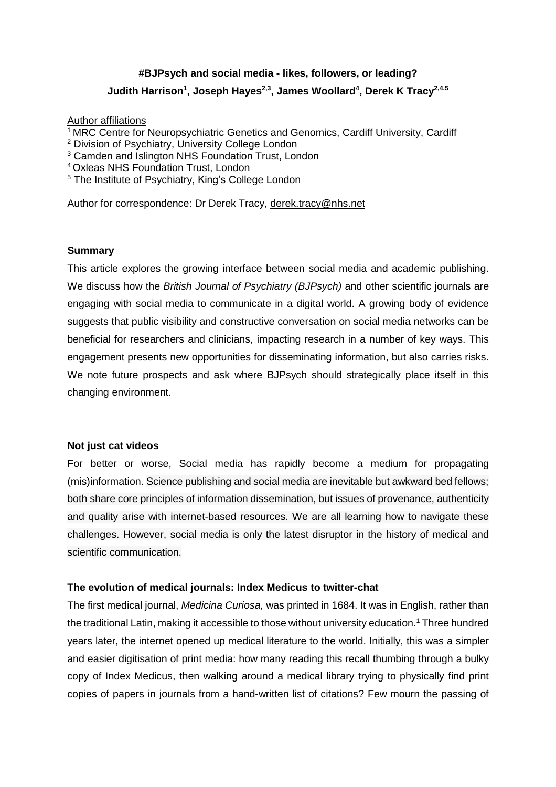# **#BJPsych and social media - likes, followers, or leading? Judith Harrison<sup>1</sup> , Joseph Hayes2,3 , James Woollard<sup>4</sup> , Derek K Tracy2,4,5**

# **Author affiliations**

- <sup>1</sup> MRC Centre for Neuropsychiatric Genetics and Genomics, Cardiff University, Cardiff
- <sup>2</sup> Division of Psychiatry, University College London
- <sup>3</sup> Camden and Islington NHS Foundation Trust, London
- <sup>4</sup> Oxleas NHS Foundation Trust, London
- <sup>5</sup> The Institute of Psychiatry, King's College London

Author for correspondence: Dr Derek Tracy, [derek.tracy@nhs.net](mailto:derek.tracy@nhs.net)

### **Summary**

This article explores the growing interface between social media and academic publishing. We discuss how the *British Journal of Psychiatry (BJPsych)* and other scientific journals are engaging with social media to communicate in a digital world. A growing body of evidence suggests that public visibility and constructive conversation on social media networks can be beneficial for researchers and clinicians, impacting research in a number of key ways. This engagement presents new opportunities for disseminating information, but also carries risks. We note future prospects and ask where BJPsych should strategically place itself in this changing environment.

#### **Not just cat videos**

For better or worse, Social media has rapidly become a medium for propagating (mis)information. Science publishing and social media are inevitable but awkward bed fellows; both share core principles of information dissemination, but issues of provenance, authenticity and quality arise with internet-based resources. We are all learning how to navigate these challenges. However, social media is only the latest disruptor in the history of medical and scientific communication.

# **The evolution of medical journals: Index Medicus to twitter-chat**

The first medical journal, *Medicina Curiosa,* was printed in 1684. It was in English, rather than the traditional Latin, making it accessible to those without university education.<sup>1</sup> Three hundred years later, the internet opened up medical literature to the world. Initially, this was a simpler and easier digitisation of print media: how many reading this recall thumbing through a bulky copy of Index Medicus, then walking around a medical library trying to physically find print copies of papers in journals from a hand-written list of citations? Few mourn the passing of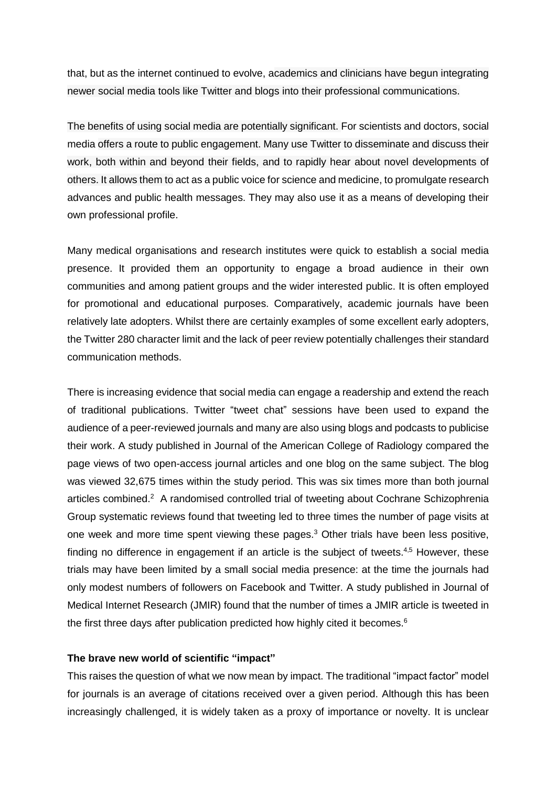that, but as the internet continued to evolve, academics and clinicians have begun integrating newer social media tools like Twitter and blogs into their professional communications.

The benefits of using social media are potentially significant. For scientists and doctors, social media offers a route to public engagement. Many use Twitter to disseminate and discuss their work, both within and beyond their fields, and to rapidly hear about novel developments of others. It allows them to act as a public voice for science and medicine, to promulgate research advances and public health messages. They may also use it as a means of developing their own professional profile.

Many medical organisations and research institutes were quick to establish a social media presence. It provided them an opportunity to engage a broad audience in their own communities and among patient groups and the wider interested public. It is often employed for promotional and educational purposes. Comparatively, academic journals have been relatively late adopters. Whilst there are certainly examples of some excellent early adopters, the Twitter 280 character limit and the lack of peer review potentially challenges their standard communication methods.

There is increasing evidence that social media can engage a readership and extend the reach of traditional publications. Twitter "tweet chat" sessions have been used to expand the audience of a peer-reviewed journals and many are also using blogs and podcasts to publicise their work. A study published in Journal of the American College of [Radiology](http://www.jacr.org/) compared the page views of two open-access journal articles and one blog on the same subject. The blog was viewed 32,675 times within the study period. This was six times more than both journal articles combined.<sup>2</sup> A randomised controlled trial of tweeting about Cochrane Schizophrenia Group systematic reviews found that tweeting led to three times the number of page visits at one week and more time spent viewing these pages.<sup>3</sup> Other trials have been less positive, finding no difference in engagement if an article is the subject of tweets.<sup>4,5</sup> However, these trials may have been limited by a small social media presence: at the time the journals had only modest numbers of followers on Facebook and Twitter. A study published in Journal of Medical Internet Research (JMIR) found that the number of times a JMIR article is tweeted in the first three days after publication predicted how highly cited it becomes.<sup>6</sup>

#### **The brave new world of scientific "impact"**

This raises the question of what we now mean by impact. The traditional "impact factor" model for journals is an average of citations received over a given period. Although this has been increasingly challenged, it is widely taken as a proxy of importance or novelty. It is unclear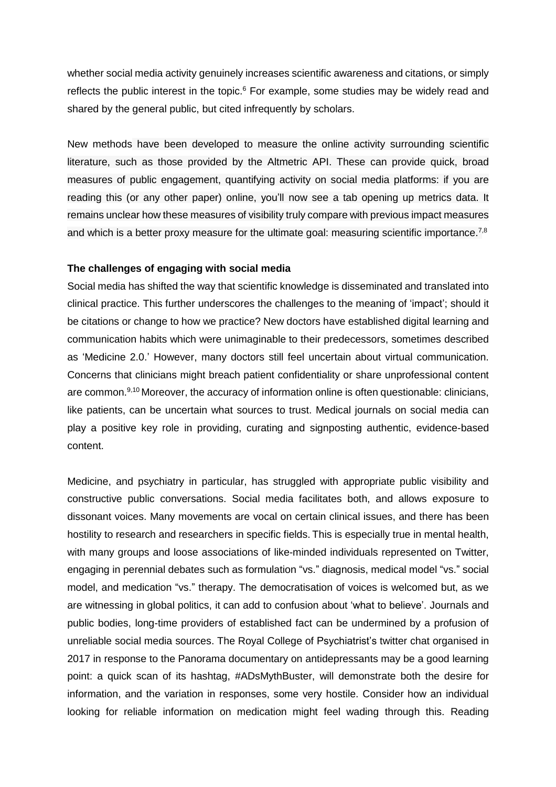whether social media activity genuinely increases scientific awareness and citations, or simply reflects the public interest in the topic.<sup>6</sup> For example, some studies may be widely read and shared by the general public, but cited infrequently by scholars.

New methods have been developed to measure the online activity surrounding scientific literature, such as those provided by the Altmetric API. These can provide quick, broad measures of public engagement, quantifying activity on social media platforms: if you are reading this (or any other paper) online, you'll now see a tab opening up metrics data. It remains unclear how these measures of visibility truly compare with previous impact measures and which is a better proxy measure for the ultimate goal: measuring scientific importance.<sup>7,8</sup>

#### **The challenges of engaging with social media**

Social media has shifted the way that scientific knowledge is disseminated and translated into clinical practice. This further underscores the challenges to the meaning of 'impact'; should it be citations or change to how we practice? New doctors have established digital learning and communication habits which were unimaginable to their predecessors, sometimes described as 'Medicine 2.0.' However, many doctors still feel uncertain about virtual communication. Concerns that clinicians might breach patient confidentiality or share unprofessional content are common.<sup>9,10</sup> Moreover, the accuracy of information online is often questionable: clinicians, like patients, can be uncertain what sources to trust. Medical journals on social media can play a positive key role in providing, curating and signposting authentic, evidence-based content.

Medicine, and psychiatry in particular, has struggled with appropriate public visibility and constructive public conversations. Social media facilitates both, and allows exposure to dissonant voices. Many movements are vocal on certain clinical issues, and there has been hostility to research and researchers in specific fields. This is especially true in mental health, with many groups and loose associations of like-minded individuals represented on Twitter, engaging in perennial debates such as formulation "vs." diagnosis, medical model "vs." social model, and medication "vs." therapy. The democratisation of voices is welcomed but, as we are witnessing in global politics, it can add to confusion about 'what to believe'. Journals and public bodies, long-time providers of established fact can be undermined by a profusion of unreliable social media sources. The Royal College of Psychiatrist's twitter chat organised in 2017 in response to the Panorama documentary on antidepressants may be a good learning point: a quick scan of its hashtag, #ADsMythBuster, will demonstrate both the desire for information, and the variation in responses, some very hostile. Consider how an individual looking for reliable information on medication might feel wading through this. Reading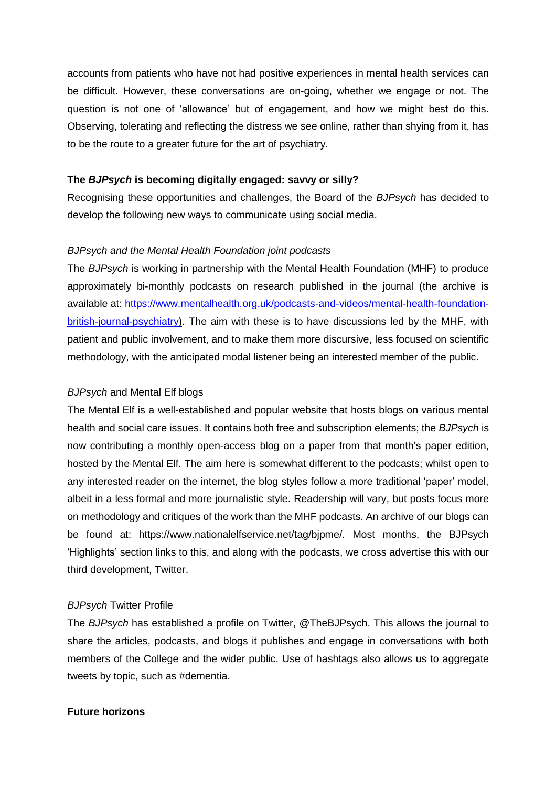accounts from patients who have not had positive experiences in mental health services can be difficult. However, these conversations are on-going, whether we engage or not. The question is not one of 'allowance' but of engagement, and how we might best do this. Observing, tolerating and reflecting the distress we see online, rather than shying from it, has to be the route to a greater future for the art of psychiatry.

#### **The** *BJPsych* **is becoming digitally engaged: savvy or silly?**

Recognising these opportunities and challenges, the Board of the *BJPsych* has decided to develop the following new ways to communicate using social media.

### *BJPsych and the Mental Health Foundation joint podcasts*

The *BJPsych* is working in partnership with the Mental Health Foundation (MHF) to produce approximately bi-monthly podcasts on research published in the journal (the archive is available at: [https://www.mentalhealth.org.uk/podcasts-and-videos/mental-health-foundation](https://www.mentalhealth.org.uk/podcasts-and-videos/mental-health-foundation-british-journal-psychiatry)[british-journal-psychiatry\)](https://www.mentalhealth.org.uk/podcasts-and-videos/mental-health-foundation-british-journal-psychiatry). The aim with these is to have discussions led by the MHF, with patient and public involvement, and to make them more discursive, less focused on scientific methodology, with the anticipated modal listener being an interested member of the public.

### *BJPsych* and Mental Elf blogs

The Mental Elf is a well-established and popular website that hosts blogs on various mental health and social care issues. It contains both free and subscription elements; the *BJPsych* is now contributing a monthly open-access blog on a paper from that month's paper edition, hosted by the Mental Elf. The aim here is somewhat different to the podcasts; whilst open to any interested reader on the internet, the blog styles follow a more traditional 'paper' model, albeit in a less formal and more journalistic style. Readership will vary, but posts focus more on methodology and critiques of the work than the MHF podcasts. An archive of our blogs can be found at: https://www.nationalelfservice.net/tag/bjpme/. Most months, the BJPsych 'Highlights' section links to this, and along with the podcasts, we cross advertise this with our third development, Twitter.

#### *BJPsych* Twitter Profile

The *BJPsych* has established a profile on Twitter, @TheBJPsych. This allows the journal to share the articles, podcasts, and blogs it publishes and engage in conversations with both members of the College and the wider public. Use of hashtags also allows us to aggregate tweets by topic, such as #dementia.

## **Future horizons**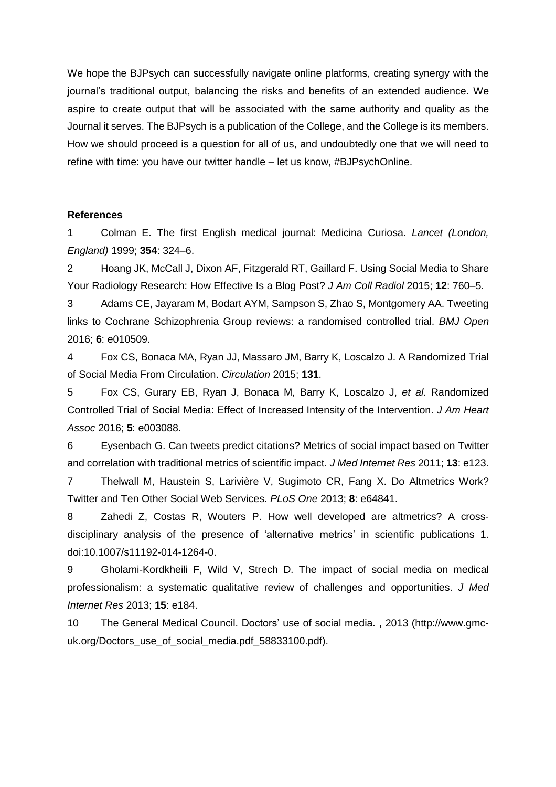We hope the BJPsych can successfully navigate online platforms, creating synergy with the journal's traditional output, balancing the risks and benefits of an extended audience. We aspire to create output that will be associated with the same authority and quality as the Journal it serves. The BJPsych is a publication of the College, and the College is its members. How we should proceed is a question for all of us, and undoubtedly one that we will need to refine with time: you have our twitter handle – let us know, #BJPsychOnline.

#### **References**

1 Colman E. The first English medical journal: Medicina Curiosa. *Lancet (London, England)* 1999; **354**: 324–6.

2 Hoang JK, McCall J, Dixon AF, Fitzgerald RT, Gaillard F. Using Social Media to Share Your Radiology Research: How Effective Is a Blog Post? *J Am Coll Radiol* 2015; **12**: 760–5.

3 Adams CE, Jayaram M, Bodart AYM, Sampson S, Zhao S, Montgomery AA. Tweeting links to Cochrane Schizophrenia Group reviews: a randomised controlled trial. *BMJ Open* 2016; **6**: e010509.

4 Fox CS, Bonaca MA, Ryan JJ, Massaro JM, Barry K, Loscalzo J. A Randomized Trial of Social Media From Circulation. *Circulation* 2015; **131**.

5 Fox CS, Gurary EB, Ryan J, Bonaca M, Barry K, Loscalzo J, *et al.* Randomized Controlled Trial of Social Media: Effect of Increased Intensity of the Intervention. *J Am Heart Assoc* 2016; **5**: e003088.

6 Eysenbach G. Can tweets predict citations? Metrics of social impact based on Twitter and correlation with traditional metrics of scientific impact. *J Med Internet Res* 2011; **13**: e123.

7 Thelwall M, Haustein S, Larivière V, Sugimoto CR, Fang X. Do Altmetrics Work? Twitter and Ten Other Social Web Services. *PLoS One* 2013; **8**: e64841.

8 Zahedi Z, Costas R, Wouters P. How well developed are altmetrics? A crossdisciplinary analysis of the presence of 'alternative metrics' in scientific publications 1. doi:10.1007/s11192-014-1264-0.

9 Gholami-Kordkheili F, Wild V, Strech D. The impact of social media on medical professionalism: a systematic qualitative review of challenges and opportunities. *J Med Internet Res* 2013; **15**: e184.

10 The General Medical Council. Doctors' use of social media. , 2013 (http://www.gmcuk.org/Doctors\_use\_of\_social\_media.pdf\_58833100.pdf).